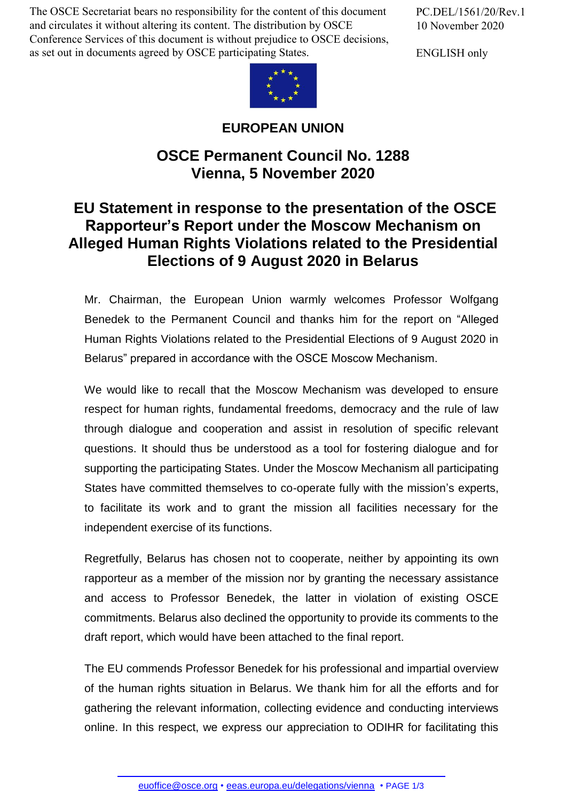The OSCE Secretariat bears no responsibility for the content of this document and circulates it without altering its content. The distribution by OSCE Conference Services of this document is without prejudice to OSCE decisions, as set out in documents agreed by OSCE participating States.

PC.DEL/1561/20/Rev.1 10 November 2020

ENGLISH only



## **EUROPEAN UNION**

## **OSCE Permanent Council No. 1288 Vienna, 5 November 2020**

## **EU Statement in response to the presentation of the OSCE Rapporteur's Report under the Moscow Mechanism on Alleged Human Rights Violations related to the Presidential Elections of 9 August 2020 in Belarus**

Mr. Chairman, the European Union warmly welcomes Professor Wolfgang Benedek to the Permanent Council and thanks him for the report on "Alleged Human Rights Violations related to the Presidential Elections of 9 August 2020 in Belarus" prepared in accordance with the OSCE Moscow Mechanism.

We would like to recall that the Moscow Mechanism was developed to ensure respect for human rights, fundamental freedoms, democracy and the rule of law through dialogue and cooperation and assist in resolution of specific relevant questions. It should thus be understood as a tool for fostering dialogue and for supporting the participating States. Under the Moscow Mechanism all participating States have committed themselves to co-operate fully with the mission's experts, to facilitate its work and to grant the mission all facilities necessary for the independent exercise of its functions.

Regretfully, Belarus has chosen not to cooperate, neither by appointing its own rapporteur as a member of the mission nor by granting the necessary assistance and access to Professor Benedek, the latter in violation of existing OSCE commitments. Belarus also declined the opportunity to provide its comments to the draft report, which would have been attached to the final report.

The EU commends Professor Benedek for his professional and impartial overview of the human rights situation in Belarus. We thank him for all the efforts and for gathering the relevant information, collecting evidence and conducting interviews online. In this respect, we express our appreciation to ODIHR for facilitating this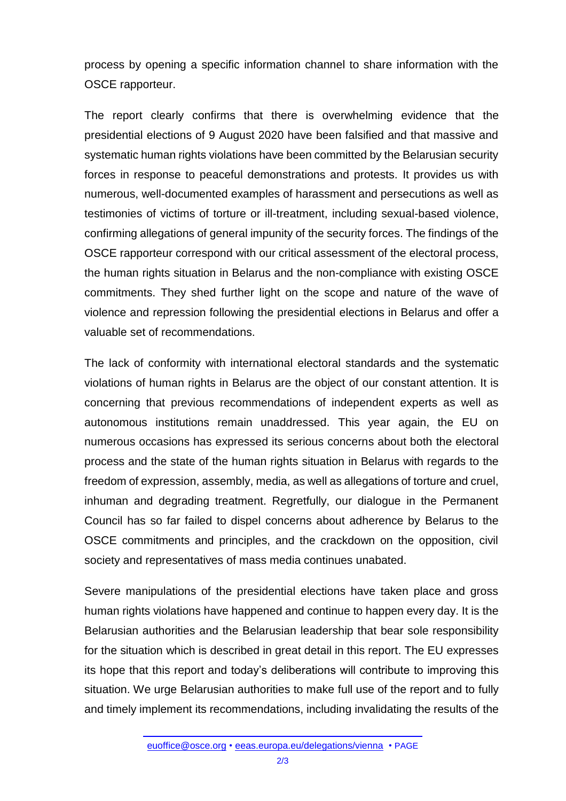process by opening a specific information channel to share information with the OSCE rapporteur.

The report clearly confirms that there is overwhelming evidence that the presidential elections of 9 August 2020 have been falsified and that massive and systematic human rights violations have been committed by the Belarusian security forces in response to peaceful demonstrations and protests. It provides us with numerous, well-documented examples of harassment and persecutions as well as testimonies of victims of torture or ill-treatment, including sexual-based violence, confirming allegations of general impunity of the security forces. The findings of the OSCE rapporteur correspond with our critical assessment of the electoral process, the human rights situation in Belarus and the non-compliance with existing OSCE commitments. They shed further light on the scope and nature of the wave of violence and repression following the presidential elections in Belarus and offer a valuable set of recommendations.

The lack of conformity with international electoral standards and the systematic violations of human rights in Belarus are the object of our constant attention. It is concerning that previous recommendations of independent experts as well as autonomous institutions remain unaddressed. This year again, the EU on numerous occasions has expressed its serious concerns about both the electoral process and the state of the human rights situation in Belarus with regards to the freedom of expression, assembly, media, as well as allegations of torture and cruel, inhuman and degrading treatment. Regretfully, our dialogue in the Permanent Council has so far failed to dispel concerns about adherence by Belarus to the OSCE commitments and principles, and the crackdown on the opposition, civil society and representatives of mass media continues unabated.

Severe manipulations of the presidential elections have taken place and gross human rights violations have happened and continue to happen every day. It is the Belarusian authorities and the Belarusian leadership that bear sole responsibility for the situation which is described in great detail in this report. The EU expresses its hope that this report and today's deliberations will contribute to improving this situation. We urge Belarusian authorities to make full use of the report and to fully and timely implement its recommendations, including invalidating the results of the